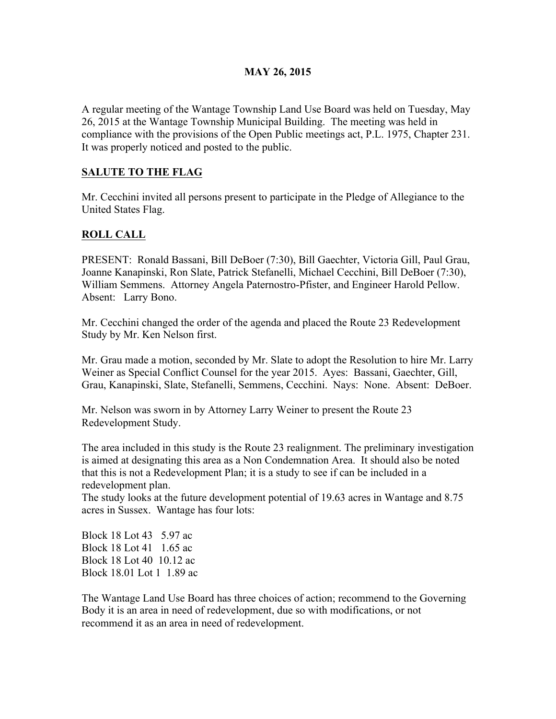### MAY 26, 2015

A regular meeting of the Wantage Township Land Use Board was held on Tuesday, May 26, 2015 at the Wantage Township Municipal Building. The meeting was held in compliance with the provisions of the Open Public meetings act, P.L. 1975, Chapter 231. It was properly noticed and posted to the public.

### SALUTE TO THE FLAG

Mr. Cecchini invited all persons present to participate in the Pledge of Allegiance to the United States Flag.

## ROLL CALL

PRESENT: Ronald Bassani, Bill DeBoer (7:30), Bill Gaechter, Victoria Gill, Paul Grau, Joanne Kanapinski, Ron Slate, Patrick Stefanelli, Michael Cecchini, Bill DeBoer (7:30), William Semmens. Attorney Angela Paternostro-Pfister, and Engineer Harold Pellow. Absent: Larry Bono.

Mr. Cecchini changed the order of the agenda and placed the Route 23 Redevelopment Study by Mr. Ken Nelson first.

Mr. Grau made a motion, seconded by Mr. Slate to adopt the Resolution to hire Mr. Larry Weiner as Special Conflict Counsel for the year 2015. Ayes: Bassani, Gaechter, Gill, Grau, Kanapinski, Slate, Stefanelli, Semmens, Cecchini. Nays: None. Absent: DeBoer.

Mr. Nelson was sworn in by Attorney Larry Weiner to present the Route 23 Redevelopment Study.

The area included in this study is the Route 23 realignment. The preliminary investigation is aimed at designating this area as a Non Condemnation Area. It should also be noted that this is not a Redevelopment Plan; it is a study to see if can be included in a redevelopment plan.

The study looks at the future development potential of 19.63 acres in Wantage and 8.75 acres in Sussex. Wantage has four lots:

Block 18 Lot 43 5.97 ac Block 18 Lot 41 1.65 ac Block 18 Lot 40 10.12 ac Block 18.01 Lot 1 1.89 ac

The Wantage Land Use Board has three choices of action; recommend to the Governing Body it is an area in need of redevelopment, due so with modifications, or not recommend it as an area in need of redevelopment.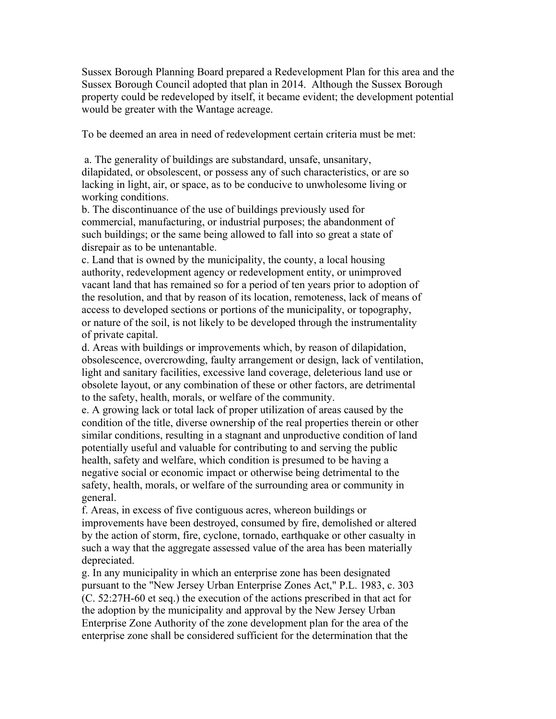Sussex Borough Planning Board prepared a Redevelopment Plan for this area and the Sussex Borough Council adopted that plan in 2014. Although the Sussex Borough property could be redeveloped by itself, it became evident; the development potential would be greater with the Wantage acreage.

To be deemed an area in need of redevelopment certain criteria must be met:

a. The generality of buildings are substandard, unsafe, unsanitary, dilapidated, or obsolescent, or possess any of such characteristics, or are so lacking in light, air, or space, as to be conducive to unwholesome living or working conditions.

b. The discontinuance of the use of buildings previously used for commercial, manufacturing, or industrial purposes; the abandonment of such buildings; or the same being allowed to fall into so great a state of disrepair as to be untenantable.

c. Land that is owned by the municipality, the county, a local housing authority, redevelopment agency or redevelopment entity, or unimproved vacant land that has remained so for a period of ten years prior to adoption of the resolution, and that by reason of its location, remoteness, lack of means of access to developed sections or portions of the municipality, or topography, or nature of the soil, is not likely to be developed through the instrumentality of private capital.

d. Areas with buildings or improvements which, by reason of dilapidation, obsolescence, overcrowding, faulty arrangement or design, lack of ventilation, light and sanitary facilities, excessive land coverage, deleterious land use or obsolete layout, or any combination of these or other factors, are detrimental to the safety, health, morals, or welfare of the community.

e. A growing lack or total lack of proper utilization of areas caused by the condition of the title, diverse ownership of the real properties therein or other similar conditions, resulting in a stagnant and unproductive condition of land potentially useful and valuable for contributing to and serving the public health, safety and welfare, which condition is presumed to be having a negative social or economic impact or otherwise being detrimental to the safety, health, morals, or welfare of the surrounding area or community in general.

f. Areas, in excess of five contiguous acres, whereon buildings or improvements have been destroyed, consumed by fire, demolished or altered by the action of storm, fire, cyclone, tornado, earthquake or other casualty in such a way that the aggregate assessed value of the area has been materially depreciated.

g. In any municipality in which an enterprise zone has been designated pursuant to the "New Jersey Urban Enterprise Zones Act," P.L. 1983, c. 303 (C. 52:27H-60 et seq.) the execution of the actions prescribed in that act for the adoption by the municipality and approval by the New Jersey Urban Enterprise Zone Authority of the zone development plan for the area of the enterprise zone shall be considered sufficient for the determination that the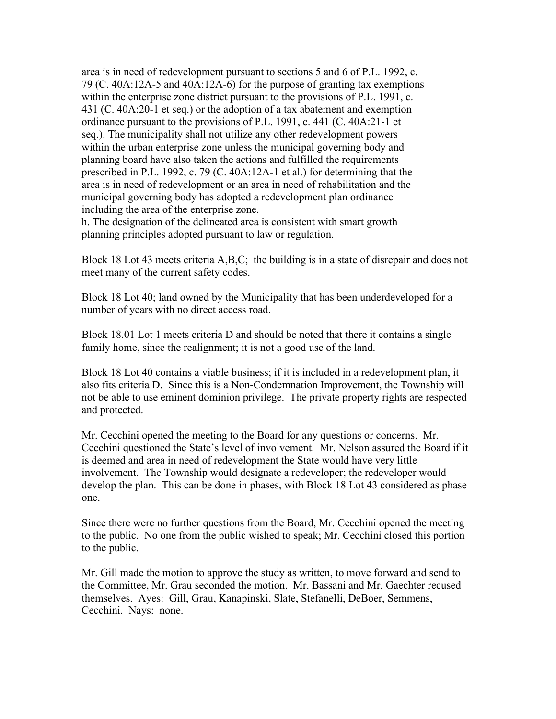area is in need of redevelopment pursuant to sections 5 and 6 of P.L. 1992, c. 79 (C. 40A:12A-5 and 40A:12A-6) for the purpose of granting tax exemptions within the enterprise zone district pursuant to the provisions of P.L. 1991, c. 431 (C. 40A:20-1 et seq.) or the adoption of a tax abatement and exemption ordinance pursuant to the provisions of P.L. 1991, c. 441 (C. 40A:21-1 et seq.). The municipality shall not utilize any other redevelopment powers within the urban enterprise zone unless the municipal governing body and planning board have also taken the actions and fulfilled the requirements prescribed in P.L. 1992, c. 79 (C. 40A:12A-1 et al.) for determining that the area is in need of redevelopment or an area in need of rehabilitation and the municipal governing body has adopted a redevelopment plan ordinance including the area of the enterprise zone.

h. The designation of the delineated area is consistent with smart growth planning principles adopted pursuant to law or regulation.

Block 18 Lot 43 meets criteria A,B,C; the building is in a state of disrepair and does not meet many of the current safety codes.

Block 18 Lot 40; land owned by the Municipality that has been underdeveloped for a number of years with no direct access road.

Block 18.01 Lot 1 meets criteria D and should be noted that there it contains a single family home, since the realignment; it is not a good use of the land.

Block 18 Lot 40 contains a viable business; if it is included in a redevelopment plan, it also fits criteria D. Since this is a Non-Condemnation Improvement, the Township will not be able to use eminent dominion privilege. The private property rights are respected and protected.

Mr. Cecchini opened the meeting to the Board for any questions or concerns. Mr. Cecchini questioned the State's level of involvement. Mr. Nelson assured the Board if it is deemed and area in need of redevelopment the State would have very little involvement. The Township would designate a redeveloper; the redeveloper would develop the plan. This can be done in phases, with Block 18 Lot 43 considered as phase one.

Since there were no further questions from the Board, Mr. Cecchini opened the meeting to the public. No one from the public wished to speak; Mr. Cecchini closed this portion to the public.

Mr. Gill made the motion to approve the study as written, to move forward and send to the Committee, Mr. Grau seconded the motion. Mr. Bassani and Mr. Gaechter recused themselves. Ayes: Gill, Grau, Kanapinski, Slate, Stefanelli, DeBoer, Semmens, Cecchini. Nays: none.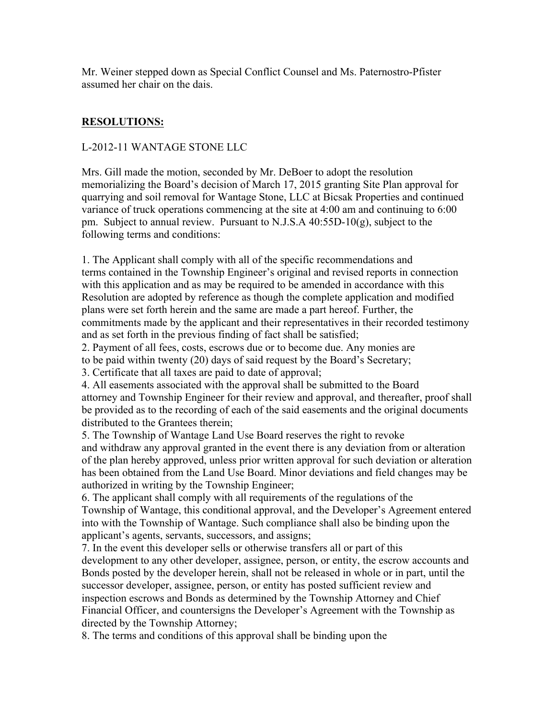Mr. Weiner stepped down as Special Conflict Counsel and Ms. Paternostro-Pfister assumed her chair on the dais.

### RESOLUTIONS:

#### L-2012-11 WANTAGE STONE LLC

Mrs. Gill made the motion, seconded by Mr. DeBoer to adopt the resolution memorializing the Board's decision of March 17, 2015 granting Site Plan approval for quarrying and soil removal for Wantage Stone, LLC at Bicsak Properties and continued variance of truck operations commencing at the site at 4:00 am and continuing to 6:00 pm. Subject to annual review. Pursuant to N.J.S.A 40:55D-10(g), subject to the following terms and conditions:

1. The Applicant shall comply with all of the specific recommendations and terms contained in the Township Engineer's original and revised reports in connection with this application and as may be required to be amended in accordance with this Resolution are adopted by reference as though the complete application and modified plans were set forth herein and the same are made a part hereof. Further, the commitments made by the applicant and their representatives in their recorded testimony and as set forth in the previous finding of fact shall be satisfied;

2. Payment of all fees, costs, escrows due or to become due. Any monies are

to be paid within twenty (20) days of said request by the Board's Secretary;

3. Certificate that all taxes are paid to date of approval;

4. All easements associated with the approval shall be submitted to the Board attorney and Township Engineer for their review and approval, and thereafter, proof shall be provided as to the recording of each of the said easements and the original documents distributed to the Grantees therein;

5. The Township of Wantage Land Use Board reserves the right to revoke and withdraw any approval granted in the event there is any deviation from or alteration of the plan hereby approved, unless prior written approval for such deviation or alteration has been obtained from the Land Use Board. Minor deviations and field changes may be authorized in writing by the Township Engineer;

6. The applicant shall comply with all requirements of the regulations of the Township of Wantage, this conditional approval, and the Developer's Agreement entered into with the Township of Wantage. Such compliance shall also be binding upon the applicant's agents, servants, successors, and assigns;

7. In the event this developer sells or otherwise transfers all or part of this development to any other developer, assignee, person, or entity, the escrow accounts and Bonds posted by the developer herein, shall not be released in whole or in part, until the successor developer, assignee, person, or entity has posted sufficient review and inspection escrows and Bonds as determined by the Township Attorney and Chief Financial Officer, and countersigns the Developer's Agreement with the Township as directed by the Township Attorney;

8. The terms and conditions of this approval shall be binding upon the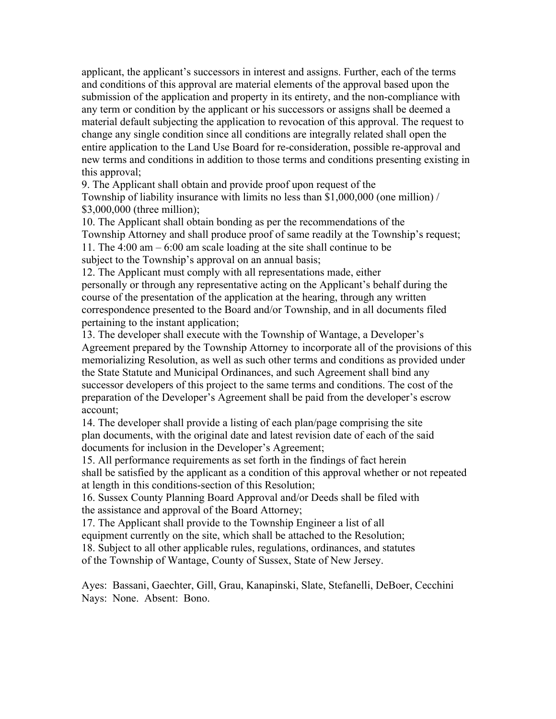applicant, the applicant's successors in interest and assigns. Further, each of the terms and conditions of this approval are material elements of the approval based upon the submission of the application and property in its entirety, and the non-compliance with any term or condition by the applicant or his successors or assigns shall be deemed a material default subjecting the application to revocation of this approval. The request to change any single condition since all conditions are integrally related shall open the entire application to the Land Use Board for re-consideration, possible re-approval and new terms and conditions in addition to those terms and conditions presenting existing in this approval;

9. The Applicant shall obtain and provide proof upon request of the

Township of liability insurance with limits no less than \$1,000,000 (one million) / \$3,000,000 (three million);

10. The Applicant shall obtain bonding as per the recommendations of the Township Attorney and shall produce proof of same readily at the Township's request; 11. The 4:00 am – 6:00 am scale loading at the site shall continue to be subject to the Township's approval on an annual basis;

12. The Applicant must comply with all representations made, either personally or through any representative acting on the Applicant's behalf during the course of the presentation of the application at the hearing, through any written correspondence presented to the Board and/or Township, and in all documents filed pertaining to the instant application;

13. The developer shall execute with the Township of Wantage, a Developer's Agreement prepared by the Township Attorney to incorporate all of the provisions of this memorializing Resolution, as well as such other terms and conditions as provided under the State Statute and Municipal Ordinances, and such Agreement shall bind any successor developers of this project to the same terms and conditions. The cost of the preparation of the Developer's Agreement shall be paid from the developer's escrow account;

14. The developer shall provide a listing of each plan/page comprising the site plan documents, with the original date and latest revision date of each of the said documents for inclusion in the Developer's Agreement;

15. All performance requirements as set forth in the findings of fact herein shall be satisfied by the applicant as a condition of this approval whether or not repeated at length in this conditions-section of this Resolution;

16. Sussex County Planning Board Approval and/or Deeds shall be filed with the assistance and approval of the Board Attorney;

17. The Applicant shall provide to the Township Engineer a list of all

equipment currently on the site, which shall be attached to the Resolution;

18. Subject to all other applicable rules, regulations, ordinances, and statutes

of the Township of Wantage, County of Sussex, State of New Jersey.

Ayes: Bassani, Gaechter, Gill, Grau, Kanapinski, Slate, Stefanelli, DeBoer, Cecchini Nays: None. Absent: Bono.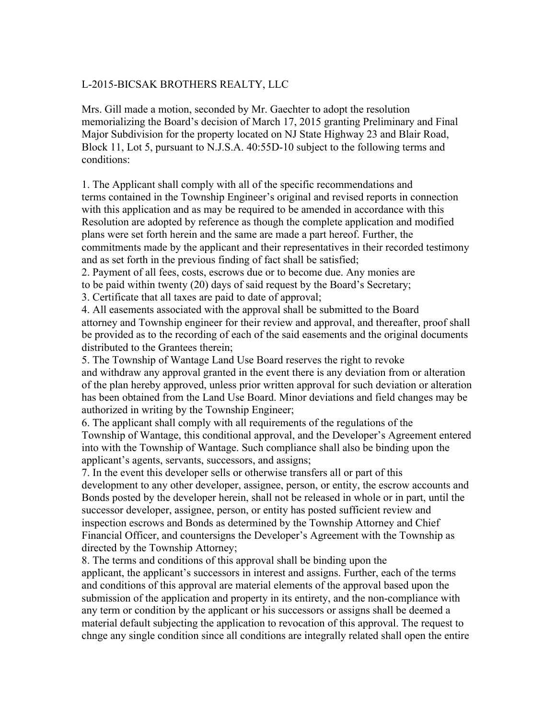#### L-2015-BICSAK BROTHERS REALTY, LLC

Mrs. Gill made a motion, seconded by Mr. Gaechter to adopt the resolution memorializing the Board's decision of March 17, 2015 granting Preliminary and Final Major Subdivision for the property located on NJ State Highway 23 and Blair Road, Block 11, Lot 5, pursuant to N.J.S.A. 40:55D-10 subject to the following terms and conditions:

1. The Applicant shall comply with all of the specific recommendations and terms contained in the Township Engineer's original and revised reports in connection with this application and as may be required to be amended in accordance with this Resolution are adopted by reference as though the complete application and modified plans were set forth herein and the same are made a part hereof. Further, the commitments made by the applicant and their representatives in their recorded testimony and as set forth in the previous finding of fact shall be satisfied;

2. Payment of all fees, costs, escrows due or to become due. Any monies are to be paid within twenty (20) days of said request by the Board's Secretary;

3. Certificate that all taxes are paid to date of approval;

4. All easements associated with the approval shall be submitted to the Board attorney and Township engineer for their review and approval, and thereafter, proof shall be provided as to the recording of each of the said easements and the original documents distributed to the Grantees therein;

5. The Township of Wantage Land Use Board reserves the right to revoke and withdraw any approval granted in the event there is any deviation from or alteration of the plan hereby approved, unless prior written approval for such deviation or alteration has been obtained from the Land Use Board. Minor deviations and field changes may be authorized in writing by the Township Engineer;

6. The applicant shall comply with all requirements of the regulations of the Township of Wantage, this conditional approval, and the Developer's Agreement entered into with the Township of Wantage. Such compliance shall also be binding upon the applicant's agents, servants, successors, and assigns;

7. In the event this developer sells or otherwise transfers all or part of this development to any other developer, assignee, person, or entity, the escrow accounts and Bonds posted by the developer herein, shall not be released in whole or in part, until the successor developer, assignee, person, or entity has posted sufficient review and inspection escrows and Bonds as determined by the Township Attorney and Chief Financial Officer, and countersigns the Developer's Agreement with the Township as directed by the Township Attorney;

8. The terms and conditions of this approval shall be binding upon the applicant, the applicant's successors in interest and assigns. Further, each of the terms and conditions of this approval are material elements of the approval based upon the submission of the application and property in its entirety, and the non-compliance with any term or condition by the applicant or his successors or assigns shall be deemed a material default subjecting the application to revocation of this approval. The request to chnge any single condition since all conditions are integrally related shall open the entire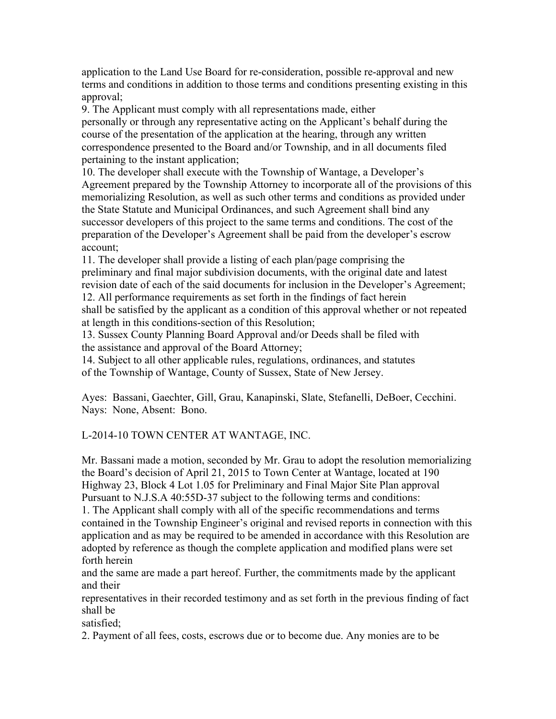application to the Land Use Board for re-consideration, possible re-approval and new terms and conditions in addition to those terms and conditions presenting existing in this approval;

9. The Applicant must comply with all representations made, either personally or through any representative acting on the Applicant's behalf during the course of the presentation of the application at the hearing, through any written correspondence presented to the Board and/or Township, and in all documents filed pertaining to the instant application;

10. The developer shall execute with the Township of Wantage, a Developer's Agreement prepared by the Township Attorney to incorporate all of the provisions of this memorializing Resolution, as well as such other terms and conditions as provided under the State Statute and Municipal Ordinances, and such Agreement shall bind any successor developers of this project to the same terms and conditions. The cost of the preparation of the Developer's Agreement shall be paid from the developer's escrow account;

11. The developer shall provide a listing of each plan/page comprising the preliminary and final major subdivision documents, with the original date and latest revision date of each of the said documents for inclusion in the Developer's Agreement; 12. All performance requirements as set forth in the findings of fact herein

shall be satisfied by the applicant as a condition of this approval whether or not repeated at length in this conditions-section of this Resolution;

13. Sussex County Planning Board Approval and/or Deeds shall be filed with the assistance and approval of the Board Attorney;

14. Subject to all other applicable rules, regulations, ordinances, and statutes of the Township of Wantage, County of Sussex, State of New Jersey.

Ayes: Bassani, Gaechter, Gill, Grau, Kanapinski, Slate, Stefanelli, DeBoer, Cecchini. Nays: None, Absent: Bono.

# L-2014-10 TOWN CENTER AT WANTAGE, INC.

Mr. Bassani made a motion, seconded by Mr. Grau to adopt the resolution memorializing the Board's decision of April 21, 2015 to Town Center at Wantage, located at 190 Highway 23, Block 4 Lot 1.05 for Preliminary and Final Major Site Plan approval Pursuant to N.J.S.A 40:55D-37 subject to the following terms and conditions:

1. The Applicant shall comply with all of the specific recommendations and terms contained in the Township Engineer's original and revised reports in connection with this application and as may be required to be amended in accordance with this Resolution are adopted by reference as though the complete application and modified plans were set forth herein

and the same are made a part hereof. Further, the commitments made by the applicant and their

representatives in their recorded testimony and as set forth in the previous finding of fact shall be

satisfied;

2. Payment of all fees, costs, escrows due or to become due. Any monies are to be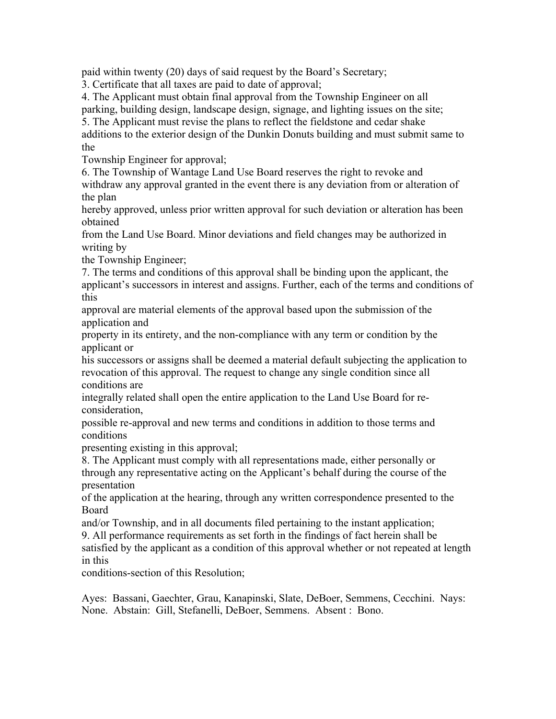paid within twenty (20) days of said request by the Board's Secretary;

3. Certificate that all taxes are paid to date of approval;

4. The Applicant must obtain final approval from the Township Engineer on all parking, building design, landscape design, signage, and lighting issues on the site;

5. The Applicant must revise the plans to reflect the fieldstone and cedar shake

additions to the exterior design of the Dunkin Donuts building and must submit same to the

Township Engineer for approval;

6. The Township of Wantage Land Use Board reserves the right to revoke and withdraw any approval granted in the event there is any deviation from or alteration of the plan

hereby approved, unless prior written approval for such deviation or alteration has been obtained

from the Land Use Board. Minor deviations and field changes may be authorized in writing by

the Township Engineer;

7. The terms and conditions of this approval shall be binding upon the applicant, the applicant's successors in interest and assigns. Further, each of the terms and conditions of this

approval are material elements of the approval based upon the submission of the application and

property in its entirety, and the non-compliance with any term or condition by the applicant or

his successors or assigns shall be deemed a material default subjecting the application to revocation of this approval. The request to change any single condition since all conditions are

integrally related shall open the entire application to the Land Use Board for reconsideration,

possible re-approval and new terms and conditions in addition to those terms and conditions

presenting existing in this approval;

8. The Applicant must comply with all representations made, either personally or through any representative acting on the Applicant's behalf during the course of the presentation

of the application at the hearing, through any written correspondence presented to the Board

and/or Township, and in all documents filed pertaining to the instant application; 9. All performance requirements as set forth in the findings of fact herein shall be

satisfied by the applicant as a condition of this approval whether or not repeated at length in this

conditions-section of this Resolution;

Ayes: Bassani, Gaechter, Grau, Kanapinski, Slate, DeBoer, Semmens, Cecchini. Nays: None. Abstain: Gill, Stefanelli, DeBoer, Semmens. Absent : Bono.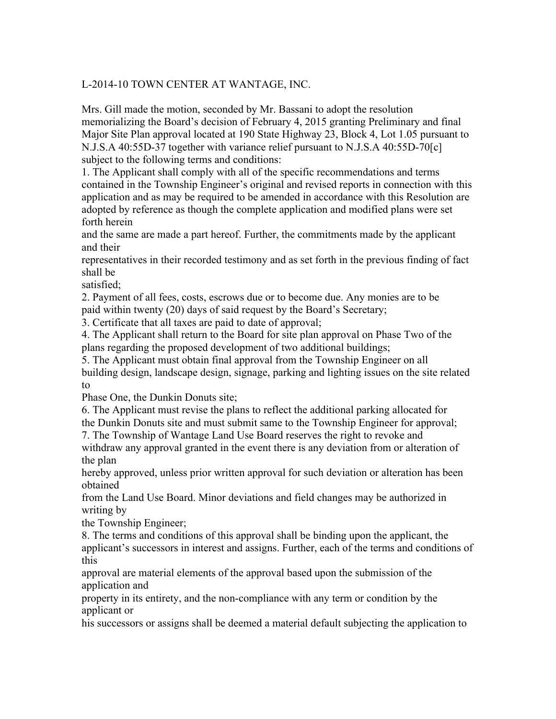## L-2014-10 TOWN CENTER AT WANTAGE, INC.

Mrs. Gill made the motion, seconded by Mr. Bassani to adopt the resolution memorializing the Board's decision of February 4, 2015 granting Preliminary and final Major Site Plan approval located at 190 State Highway 23, Block 4, Lot 1.05 pursuant to N.J.S.A 40:55D-37 together with variance relief pursuant to N.J.S.A 40:55D-70[c] subject to the following terms and conditions:

1. The Applicant shall comply with all of the specific recommendations and terms contained in the Township Engineer's original and revised reports in connection with this application and as may be required to be amended in accordance with this Resolution are adopted by reference as though the complete application and modified plans were set forth herein

and the same are made a part hereof. Further, the commitments made by the applicant and their

representatives in their recorded testimony and as set forth in the previous finding of fact shall be

satisfied;

2. Payment of all fees, costs, escrows due or to become due. Any monies are to be paid within twenty (20) days of said request by the Board's Secretary;

3. Certificate that all taxes are paid to date of approval;

4. The Applicant shall return to the Board for site plan approval on Phase Two of the plans regarding the proposed development of two additional buildings;

5. The Applicant must obtain final approval from the Township Engineer on all building design, landscape design, signage, parking and lighting issues on the site related to

Phase One, the Dunkin Donuts site;

6. The Applicant must revise the plans to reflect the additional parking allocated for the Dunkin Donuts site and must submit same to the Township Engineer for approval;

7. The Township of Wantage Land Use Board reserves the right to revoke and

withdraw any approval granted in the event there is any deviation from or alteration of the plan

hereby approved, unless prior written approval for such deviation or alteration has been obtained

from the Land Use Board. Minor deviations and field changes may be authorized in writing by

the Township Engineer;

8. The terms and conditions of this approval shall be binding upon the applicant, the applicant's successors in interest and assigns. Further, each of the terms and conditions of this

approval are material elements of the approval based upon the submission of the application and

property in its entirety, and the non-compliance with any term or condition by the applicant or

his successors or assigns shall be deemed a material default subjecting the application to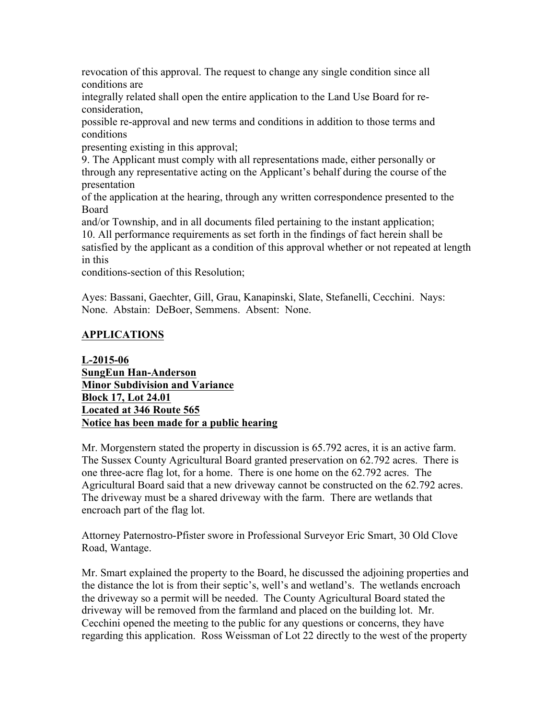revocation of this approval. The request to change any single condition since all conditions are

integrally related shall open the entire application to the Land Use Board for reconsideration,

possible re-approval and new terms and conditions in addition to those terms and conditions

presenting existing in this approval;

9. The Applicant must comply with all representations made, either personally or through any representative acting on the Applicant's behalf during the course of the presentation

of the application at the hearing, through any written correspondence presented to the Board

and/or Township, and in all documents filed pertaining to the instant application; 10. All performance requirements as set forth in the findings of fact herein shall be satisfied by the applicant as a condition of this approval whether or not repeated at length in this

conditions-section of this Resolution;

Ayes: Bassani, Gaechter, Gill, Grau, Kanapinski, Slate, Stefanelli, Cecchini. Nays: None. Abstain: DeBoer, Semmens. Absent: None.

# APPLICATIONS

L-2015-06 SungEun Han-Anderson Minor Subdivision and Variance Block 17, Lot 24.01 Located at 346 Route 565 Notice has been made for a public hearing

Mr. Morgenstern stated the property in discussion is 65.792 acres, it is an active farm. The Sussex County Agricultural Board granted preservation on 62.792 acres. There is one three-acre flag lot, for a home. There is one home on the 62.792 acres. The Agricultural Board said that a new driveway cannot be constructed on the 62.792 acres. The driveway must be a shared driveway with the farm. There are wetlands that encroach part of the flag lot.

Attorney Paternostro-Pfister swore in Professional Surveyor Eric Smart, 30 Old Clove Road, Wantage.

Mr. Smart explained the property to the Board, he discussed the adjoining properties and the distance the lot is from their septic's, well's and wetland's. The wetlands encroach the driveway so a permit will be needed. The County Agricultural Board stated the driveway will be removed from the farmland and placed on the building lot. Mr. Cecchini opened the meeting to the public for any questions or concerns, they have regarding this application. Ross Weissman of Lot 22 directly to the west of the property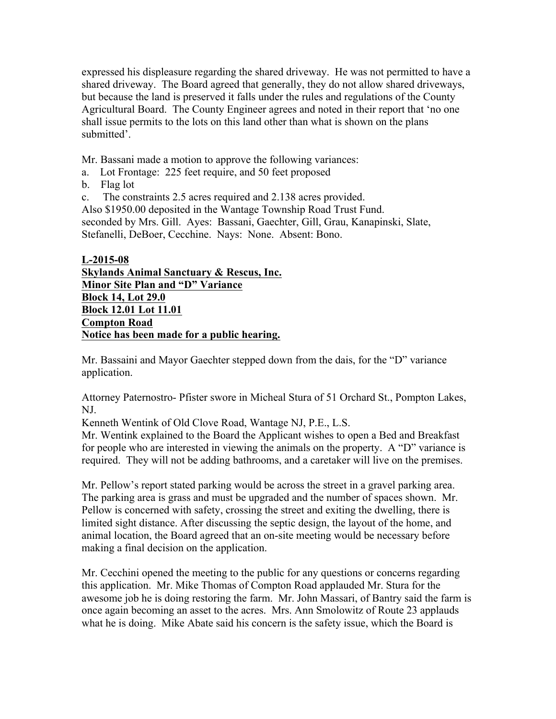expressed his displeasure regarding the shared driveway. He was not permitted to have a shared driveway. The Board agreed that generally, they do not allow shared driveways, but because the land is preserved it falls under the rules and regulations of the County Agricultural Board. The County Engineer agrees and noted in their report that 'no one shall issue permits to the lots on this land other than what is shown on the plans submitted'.

Mr. Bassani made a motion to approve the following variances:

- a. Lot Frontage: 225 feet require, and 50 feet proposed
- b. Flag lot

c. The constraints 2.5 acres required and 2.138 acres provided.

Also \$1950.00 deposited in the Wantage Township Road Trust Fund.

seconded by Mrs. Gill. Ayes: Bassani, Gaechter, Gill, Grau, Kanapinski, Slate,

Stefanelli, DeBoer, Cecchine. Nays: None. Absent: Bono.

# L-2015-08

Skylands Animal Sanctuary & Rescus, Inc. Minor Site Plan and "D" Variance Block 14, Lot 29.0 Block 12.01 Lot 11.01 Compton Road Notice has been made for a public hearing.

Mr. Bassaini and Mayor Gaechter stepped down from the dais, for the "D" variance application.

Attorney Paternostro- Pfister swore in Micheal Stura of 51 Orchard St., Pompton Lakes, NJ.

Kenneth Wentink of Old Clove Road, Wantage NJ, P.E., L.S.

Mr. Wentink explained to the Board the Applicant wishes to open a Bed and Breakfast for people who are interested in viewing the animals on the property. A "D" variance is required. They will not be adding bathrooms, and a caretaker will live on the premises.

Mr. Pellow's report stated parking would be across the street in a gravel parking area. The parking area is grass and must be upgraded and the number of spaces shown. Mr. Pellow is concerned with safety, crossing the street and exiting the dwelling, there is limited sight distance. After discussing the septic design, the layout of the home, and animal location, the Board agreed that an on-site meeting would be necessary before making a final decision on the application.

Mr. Cecchini opened the meeting to the public for any questions or concerns regarding this application. Mr. Mike Thomas of Compton Road applauded Mr. Stura for the awesome job he is doing restoring the farm. Mr. John Massari, of Bantry said the farm is once again becoming an asset to the acres. Mrs. Ann Smolowitz of Route 23 applauds what he is doing. Mike Abate said his concern is the safety issue, which the Board is